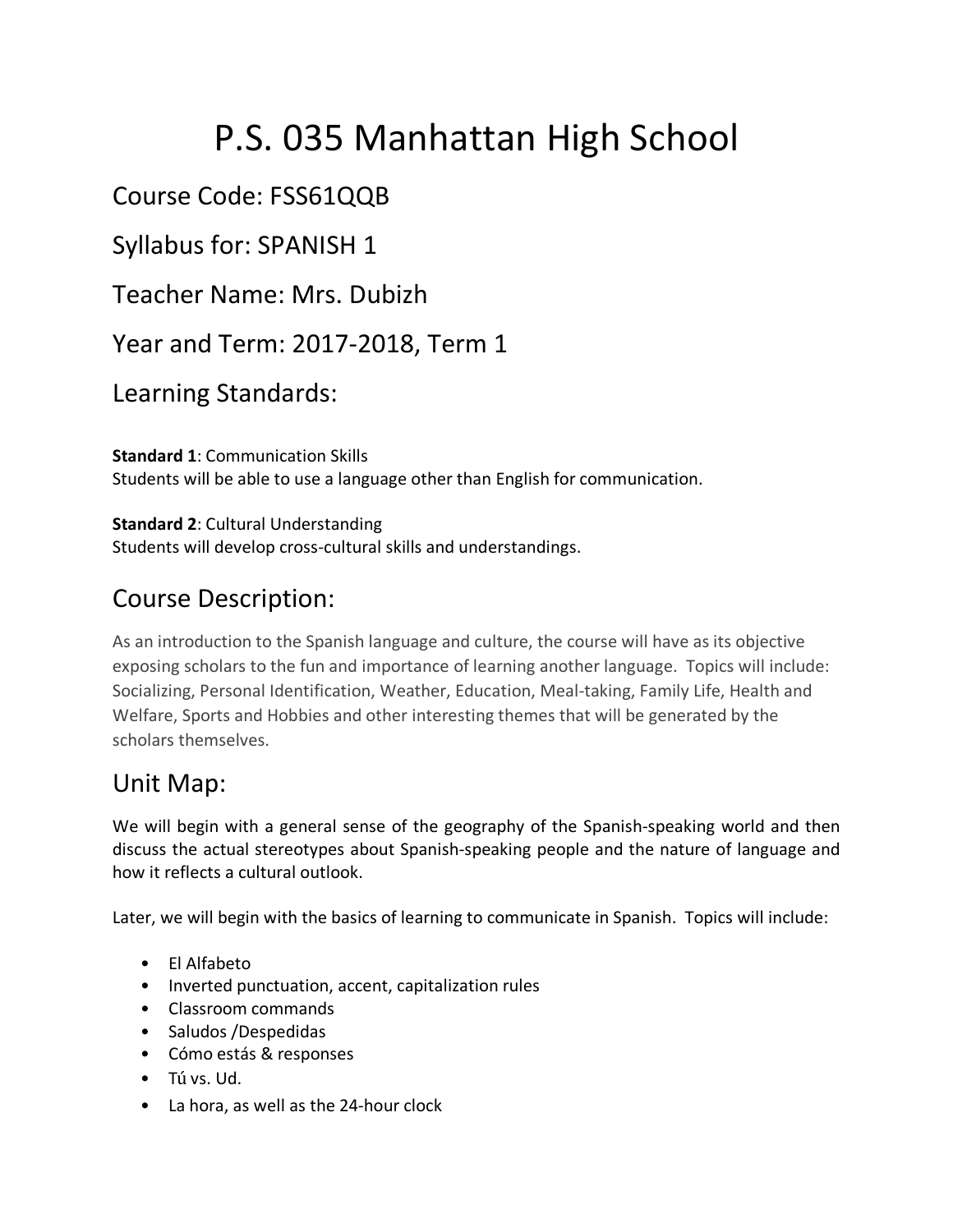# P.S. 035 Manhattan High School

### Course Code: FSS61QQB

Syllabus for: SPANISH 1

Teacher Name: Mrs. Dubizh

Year and Term: 2017-2018, Term 1

Learning Standards:

**Standard 1**: Communication Skills Students will be able to use a language other than English for communication.

**Standard 2**: Cultural Understanding Students will develop cross-cultural skills and understandings.

## Course Description:

As an introduction to the Spanish language and culture, the course will have as its objective exposing scholars to the fun and importance of learning another language. Topics will include: Socializing, Personal Identification, Weather, Education, Meal-taking, Family Life, Health and Welfare, Sports and Hobbies and other interesting themes that will be generated by the scholars themselves.

#### Unit Map:

We will begin with a general sense of the geography of the Spanish-speaking world and then discuss the actual stereotypes about Spanish-speaking people and the nature of language and how it reflects a cultural outlook.

Later, we will begin with the basics of learning to communicate in Spanish. Topics will include:

- El Alfabeto
- Inverted punctuation, accent, capitalization rules
- Classroom commands
- Saludos /Despedidas
- Cómo estás & responses
- Tú vs. Ud.
- La hora, as well as the 24-hour clock